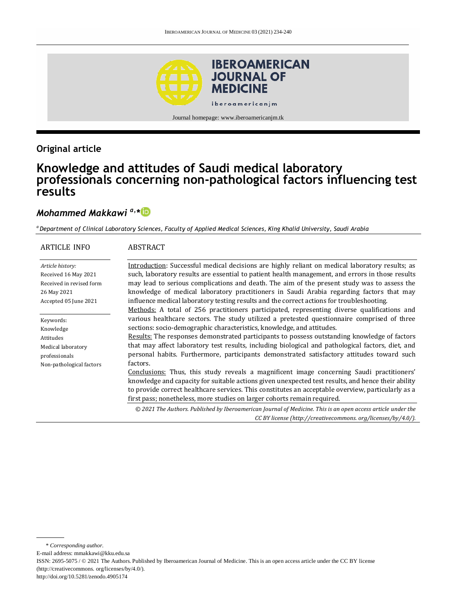

Journal homepage: www.iberoamericanjm.tk

## **Original article**

# **Knowledge and attitudes of Saudi medical laboratory professionals concerning non-pathological factors influencing test results**

## *Mohammed Makkawi a,\**

*<sup>a</sup>Department of Clinical Laboratory Sciences, Faculty of Applied Medical Sciences, King Khalid University, Saudi Arabia*

| <b>ARTICLE INFO</b>                                                                                          | <b>ABSTRACT</b>                                                                                                                                                                                                                                                                                                                                                                                                                                                                                                                                                                            |
|--------------------------------------------------------------------------------------------------------------|--------------------------------------------------------------------------------------------------------------------------------------------------------------------------------------------------------------------------------------------------------------------------------------------------------------------------------------------------------------------------------------------------------------------------------------------------------------------------------------------------------------------------------------------------------------------------------------------|
| Article history:<br>Received 16 May 2021<br>Received in revised form<br>26 May 2021<br>Accepted 05 June 2021 | Introduction: Successful medical decisions are highly reliant on medical laboratory results; as<br>such, laboratory results are essential to patient health management, and errors in those results<br>may lead to serious complications and death. The aim of the present study was to assess the<br>knowledge of medical laboratory practitioners in Saudi Arabia regarding factors that may<br>influence medical laboratory testing results and the correct actions for troubleshooting.<br>Methods: A total of 256 practitioners participated, representing diverse qualifications and |
| Keywords:<br>Knowledge<br>Attitudes<br>Medical laboratory<br>professionals<br>Non-pathological factors       | various healthcare sectors. The study utilized a pretested questionnaire comprised of three<br>sections: socio-demographic characteristics, knowledge, and attitudes.<br>Results: The responses demonstrated participants to possess outstanding knowledge of factors<br>that may affect laboratory test results, including biological and pathological factors, diet, and<br>personal habits. Furthermore, participants demonstrated satisfactory attitudes toward such<br>factors.                                                                                                       |
|                                                                                                              | Conclusions: Thus, this study reveals a magnificent image concerning Saudi practitioners'<br>knowledge and capacity for suitable actions given unexpected test results, and hence their ability<br>to provide correct healthcare services. This constitutes an acceptable overview, particularly as a<br>first pass; nonetheless, more studies on larger cohorts remain required.                                                                                                                                                                                                          |
|                                                                                                              | © 2021 The Authors. Published by Iberoamerican Journal of Medicine. This is an open access article under the<br>CC BY license (http://creativecommons.org/licenses/by/4.0/).                                                                                                                                                                                                                                                                                                                                                                                                               |

E-mail address: mmakkawi@kku.edu.sa

http://doi.org/10.5281/zenodo.4905174

<sup>\*</sup> *Corresponding author.*

ISSN: 2695-5075 / © 2021 The Authors. Published by Iberoamerican Journal of Medicine. This is an open access article under the CC BY license (http://creativecommons. org/licenses/by/4.0/).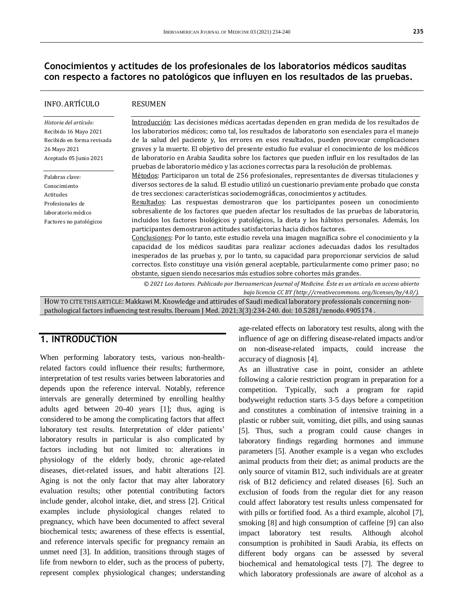### **Conocimientos y actitudes de los profesionales de los laboratorios médicos sauditas con respecto a factores no patológicos que influyen en los resultados de las pruebas.**

| <b>INFO. ARTÍCULO</b>                                                                                                   | RESUMEN                                                                                                                                                                                                                                                                                                                                                                                                                                                                                                                                                                                                                                                                                                                                                                                                                                                       |  |
|-------------------------------------------------------------------------------------------------------------------------|---------------------------------------------------------------------------------------------------------------------------------------------------------------------------------------------------------------------------------------------------------------------------------------------------------------------------------------------------------------------------------------------------------------------------------------------------------------------------------------------------------------------------------------------------------------------------------------------------------------------------------------------------------------------------------------------------------------------------------------------------------------------------------------------------------------------------------------------------------------|--|
| Historia del artículo:<br>Recibido 16 Mayo 2021<br>Recibido en forma revisada<br>26 Mayo 2021<br>Aceptado 05 Junio 2021 | Introducción: Las decisiones médicas acertadas dependen en gran medida de los resultados de<br>los laboratorios médicos; como tal, los resultados de laboratorio son esenciales para el manejo<br>de la salud del paciente y, los errores en esos resultados, pueden provocar complicaciones<br>graves y la muerte. El objetivo del presente estudio fue evaluar el conocimiento de los médicos<br>de laboratorio en Arabia Saudita sobre los factores que pueden influir en los resultados de las<br>pruebas de laboratorio médico y las acciones correctas para la resolución de problemas.                                                                                                                                                                                                                                                                 |  |
| Palabras clave:<br>Conocimiento<br>Actitudes<br>Profesionales de<br>laboratorio médico<br>Factores no patológicos       | Métodos: Participaron un total de 256 profesionales, representantes de diversas titulaciones y<br>diversos sectores de la salud. El estudio utilizó un cuestionario previamente probado que consta<br>de tres secciones: características sociodemográficas, conocimientos y actitudes.<br>Resultados: Las respuestas demostraron que los participantes poseen un conocimiento<br>sobresaliente de los factores que pueden afectar los resultados de las pruebas de laboratorio,<br>incluidos los factores biológicos y patológicos, la dieta y los hábitos personales. Además, los<br>participantes demostraron actitudes satisfactorias hacia dichos factores.<br>Conclusiones: Por lo tanto, este estudio revela una imagen magnífica sobre el conocimiento y la<br>capacidad de los médicos sauditas para realizar acciones adecuadas dados los resultados |  |
|                                                                                                                         | inesperados de las pruebas y, por lo tanto, su capacidad para proporcionar servicios de salud<br>correctos. Esto constituye una visión general aceptable, particularmente como primer paso; no<br>obstante, siguen siendo necesarios más estudios sobre cohortes más grandes.                                                                                                                                                                                                                                                                                                                                                                                                                                                                                                                                                                                 |  |
|                                                                                                                         | © 2021 Los Autores. Publicado por Iberoamerican Journal of Medicine. Éste es un artículo en acceso abierto<br>bajo licencia CC BY (http://creativecommons. org/licenses/by/4.0/).                                                                                                                                                                                                                                                                                                                                                                                                                                                                                                                                                                                                                                                                             |  |
|                                                                                                                         | HOW TO CITE THIS ARTICLE: Makkawi M. Knowledge and attirudes of Saudi medical laboratory professionals concerning non-                                                                                                                                                                                                                                                                                                                                                                                                                                                                                                                                                                                                                                                                                                                                        |  |

pathological factors influencing test results. Iberoam J Med. 2021;3(3):234-240. doi[: 10.5281/zenodo.4905174](http://doi.org/10.5281/zenodo.4905174) .

### **1. INTRODUCTION**

When performing laboratory tests, various non-healthrelated factors could influence their results; furthermore, interpretation of test results varies between laboratories and depends upon the reference interval. Notably, reference intervals are generally determined by enrolling healthy adults aged between 20-40 years [1]; thus, aging is considered to be among the complicating factors that affect laboratory test results. Interpretation of elder patients' laboratory results in particular is also complicated by factors including but not limited to: alterations in physiology of the elderly body, chronic age-related diseases, diet-related issues, and habit alterations [2]. Aging is not the only factor that may alter laboratory evaluation results; other potential contributing factors include gender, alcohol intake, diet, and stress [2]. Critical examples include physiological changes related to pregnancy, which have been documented to affect several biochemical tests; awareness of these effects is essential, and reference intervals specific for pregnancy remain an unmet need [3]. In addition, transitions through stages of life from newborn to elder, such as the process of puberty, represent complex physiological changes; understanding

age-related effects on laboratory test results, along with the influence of age on differing disease-related impacts and/or on non-disease-related impacts, could increase the accuracy of diagnosis [4].

As an illustrative case in point, consider an athlete following a calorie restriction program in preparation for a competition. Typically, such a program for rapid bodyweight reduction starts 3-5 days before a competition and constitutes a combination of intensive training in a plastic or rubber suit, vomiting, diet pills, and using saunas [5]. Thus, such a program could cause changes in laboratory findings regarding hormones and immune parameters [5]. Another example is a vegan who excludes animal products from their diet; as animal products are the only source of vitamin B12, such individuals are at greater risk of B12 deficiency and related diseases [6]. Such an exclusion of foods from the regular diet for any reason could affect laboratory test results unless compensated for with pills or fortified food. As a third example, alcohol [7], smoking [8] and high consumption of caffeine [9] can also impact laboratory test results. Although alcohol consumption is prohibited in Saudi Arabia, its effects on different body organs can be assessed by several biochemical and hematological tests [7]. The degree to which laboratory professionals are aware of alcohol as a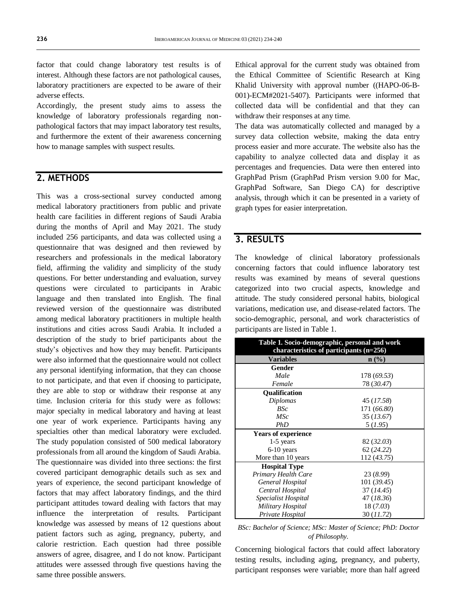factor that could change laboratory test results is of interest. Although these factors are not pathological causes, laboratory practitioners are expected to be aware of their adverse effects.

Accordingly, the present study aims to assess the knowledge of laboratory professionals regarding nonpathological factors that may impact laboratory test results, and furthermore the extent of their awareness concerning how to manage samples with suspect results.

## **2. METHODS**

This was a cross-sectional survey conducted among medical laboratory practitioners from public and private health care facilities in different regions of Saudi Arabia during the months of April and May 2021. The study included 256 participants, and data was collected using a questionnaire that was designed and then reviewed by researchers and professionals in the medical laboratory field, affirming the validity and simplicity of the study questions. For better understanding and evaluation, survey questions were circulated to participants in Arabic language and then translated into English. The final reviewed version of the questionnaire was distributed among medical laboratory practitioners in multiple health institutions and cities across Saudi Arabia. It included a description of the study to brief participants about the study's objectives and how they may benefit. Participants were also informed that the questionnaire would not collect any personal identifying information, that they can choose to not participate, and that even if choosing to participate, they are able to stop or withdraw their response at any time. Inclusion criteria for this study were as follows: major specialty in medical laboratory and having at least one year of work experience. Participants having any specialties other than medical laboratory were excluded. The study population consisted of 500 medical laboratory professionals from all around the kingdom of Saudi Arabia. The questionnaire was divided into three sections: the first covered participant demographic details such as sex and years of experience, the second participant knowledge of factors that may affect laboratory findings, and the third participant attitudes toward dealing with factors that may influence the interpretation of results. Participant knowledge was assessed by means of 12 questions about patient factors such as aging, pregnancy, puberty, and calorie restriction. Each question had three possible answers of agree, disagree, and I do not know. Participant attitudes were assessed through five questions having the same three possible answers.

Ethical approval for the current study was obtained from the Ethical Committee of Scientific Research at King Khalid University with approval number ((HAPO-06-B-001)-ECM#2021-5407). Participants were informed that collected data will be confidential and that they can withdraw their responses at any time.

The data was automatically collected and managed by a survey data collection website, making the data entry process easier and more accurate. The website also has the capability to analyze collected data and display it as percentages and frequencies. Data were then entered into GraphPad Prism (GraphPad Prism version 9.00 for Mac, GraphPad Software, San Diego CA) for descriptive analysis, through which it can be presented in a variety of graph types for easier interpretation.

### **3. RESULTS**

The knowledge of clinical laboratory professionals concerning factors that could influence laboratory test results was examined by means of several questions categorized into two crucial aspects, knowledge and attitude. The study considered personal habits, biological variations, medication use, and disease-related factors. The socio-demographic, personal, and work characteristics of participants are listed in Table 1.

| Table 1. Socio-demographic, personal and work<br>characteristics of participants (n=256) |             |  |  |  |
|------------------------------------------------------------------------------------------|-------------|--|--|--|
| <b>Variables</b>                                                                         | $n\ (\%)$   |  |  |  |
| Gender                                                                                   |             |  |  |  |
| Male                                                                                     | 178 (69.53) |  |  |  |
| Female                                                                                   | 78 (30.47)  |  |  |  |
| <b>Oualification</b>                                                                     |             |  |  |  |
| Diplomas                                                                                 | 45 (17.58)  |  |  |  |
| BSc                                                                                      | 171 (66.80) |  |  |  |
| MSc                                                                                      | 35 (13.67)  |  |  |  |
| PhD                                                                                      | 5(1.95)     |  |  |  |
| <b>Years of experience</b>                                                               |             |  |  |  |
| 1-5 years                                                                                | 82 (32.03)  |  |  |  |
| $6-10$ years                                                                             | 62 (24.22)  |  |  |  |
| More than 10 years                                                                       | 112 (43.75) |  |  |  |
| <b>Hospital Type</b>                                                                     |             |  |  |  |
| Primary Health Care                                                                      | 23 (8.99)   |  |  |  |
| General Hospital                                                                         | 101 (39.45) |  |  |  |
| Central Hospital                                                                         | 37(14.45)   |  |  |  |
| Specialist Hospital                                                                      | 47 (18.36)  |  |  |  |
| Military Hospital                                                                        | 18(7.03)    |  |  |  |
| Private Hospital                                                                         | 30 (11.72)  |  |  |  |

*BSc: Bachelor of Science; MSc: Master of Science; PhD: Doctor of Philosophy.*

Concerning biological factors that could affect laboratory testing results, including aging, pregnancy, and puberty, participant responses were variable; more than half agreed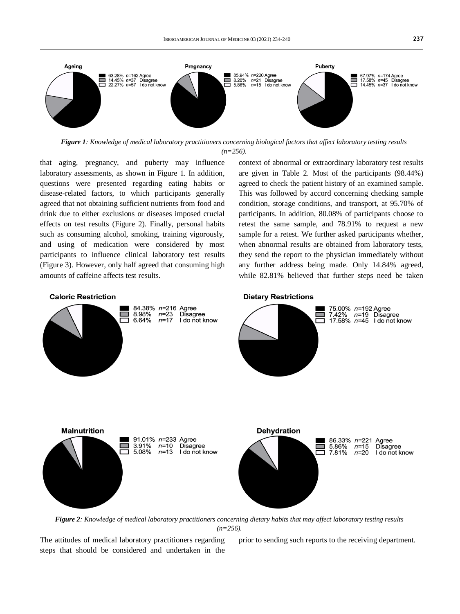

*Figure 1: Knowledge of medical laboratory practitioners concerning biological factors that affect laboratory testing results (n=256).*

that aging, pregnancy, and puberty may influence laboratory assessments, as shown in Figure 1. In addition, questions were presented regarding eating habits or disease-related factors, to which participants generally agreed that not obtaining sufficient nutrients from food and drink due to either exclusions or diseases imposed crucial effects on test results (Figure 2). Finally, personal habits such as consuming alcohol, smoking, training vigorously, and using of medication were considered by most participants to influence clinical laboratory test results (Figure 3). However, only half agreed that consuming high amounts of caffeine affects test results.

context of abnormal or extraordinary laboratory test results are given in Table 2. Most of the participants (98.44%) agreed to check the patient history of an examined sample. This was followed by accord concerning checking sample condition, storage conditions, and transport, at 95.70% of participants. In addition, 80.08% of participants choose to retest the same sample, and 78.91% to request a new sample for a retest. We further asked participants whether, when abnormal results are obtained from laboratory tests, they send the report to the physician immediately without any further address being made. Only 14.84% agreed, while 82.81% believed that further steps need be taken

#### **Caloric Restriction**

**Malnutrition** 



#### **Dietary Restrictions**



*Figure 2: Knowledge of medical laboratory practitioners concerning dietary habits that may affect laboratory testing results*   $(n=256)$ 

The attitudes of medical laboratory practitioners regarding steps that should be considered and undertaken in the prior to sending such reports to the receiving department.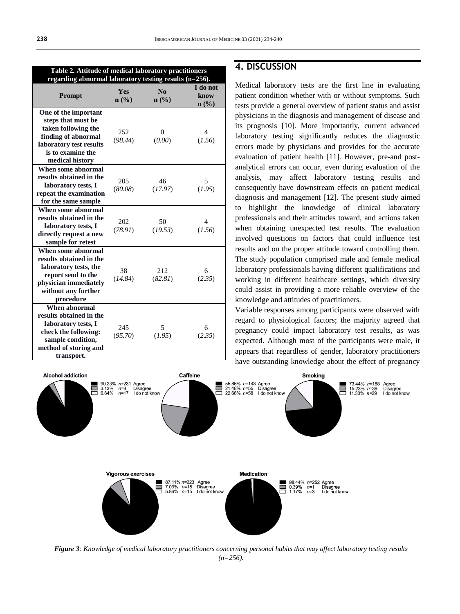**Table 2. Attitude of medical laboratory practitioners** 

| regarding abnormal laboratory testing results $(n=256)$ .                                                                                                   |                                |                                            |                          |  |  |
|-------------------------------------------------------------------------------------------------------------------------------------------------------------|--------------------------------|--------------------------------------------|--------------------------|--|--|
| <b>Prompt</b>                                                                                                                                               | <b>Yes</b><br>$\mathbf{n}(\%)$ | $\mathbf{N}\mathbf{0}$<br>$\mathbf{n}(\%)$ | I do not<br>know<br>n(%) |  |  |
| One of the important<br>steps that must be<br>taken following the<br>finding of abnormal<br>laboratory test results<br>is to examine the<br>medical history | 252<br>(98.44)                 | $\overline{0}$<br>(0.00)                   | 4<br>(1.56)              |  |  |
| When some abnormal<br>results obtained in the<br>laboratory tests, I<br>repeat the examination<br>for the same sample                                       | 205<br>(80.08)                 | 46<br>(17.97)                              | 5<br>(1.95)              |  |  |
| When some abnormal<br>results obtained in the<br>laboratory tests, I<br>directly request a new<br>sample for retest                                         | 202<br>(78.91)                 | 50<br>(19.53)                              | 4<br>(1.56)              |  |  |
| When some abnormal<br>results obtained in the<br>laboratory tests, the<br>report send to the<br>physician immediately<br>without any further<br>procedure   | 38<br>(14.84)                  | 212<br>(82.81)                             | 6<br>(2.35)              |  |  |
| When abnormal<br>results obtained in the<br>laboratory tests, I<br>check the following:<br>sample condition,<br>method of storing and<br>transport.         | 245<br>(95.70)                 | 5<br>(1.95)                                | 6<br>(2.35)              |  |  |

### **4. DISCUSSION**

Medical laboratory tests are the first line in evaluating patient condition whether with or without symptoms. Such tests provide a general overview of patient status and assist physicians in the diagnosis and management of disease and its prognosis [10]. More importantly, current advanced laboratory testing significantly reduces the diagnostic errors made by physicians and provides for the accurate evaluation of patient health [11]. However, pre-and postanalytical errors can occur, even during evaluation of the analysis, may affect laboratory testing results and consequently have downstream effects on patient medical diagnosis and management [12]. The present study aimed to highlight the knowledge of clinical laboratory professionals and their attitudes toward, and actions taken when obtaining unexpected test results. The evaluation involved questions on factors that could influence test results and on the proper attitude toward controlling them. The study population comprised male and female medical laboratory professionals having different qualifications and working in different healthcare settings, which diversity could assist in providing a more reliable overview of the knowledge and attitudes of practitioners.

Variable responses among participants were observed with regard to physiological factors; the majority agreed that pregnancy could impact laboratory test results, as was expected. Although most of the participants were male, it appears that regardless of gender, laboratory practitioners have outstanding knowledge about the effect of pregnancy



*Figure 3: Knowledge of medical laboratory practitioners concerning personal habits that may affect laboratory testing results (n=256).*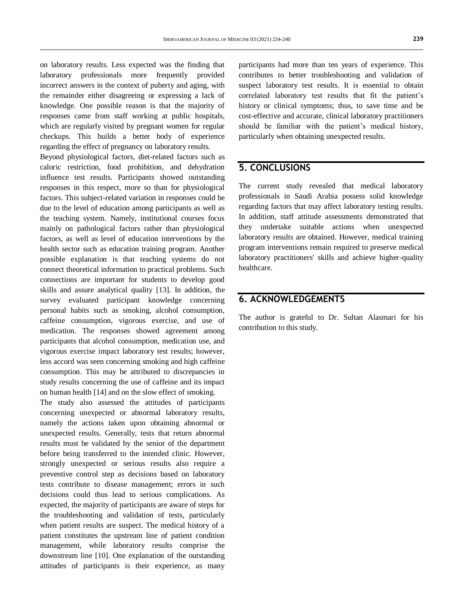on laboratory results. Less expected was the finding that laboratory professionals more frequently provided incorrect answers in the context of puberty and aging, with the remainder either disagreeing or expressing a lack of knowledge. One possible reason is that the majority of responses came from staff working at public hospitals, which are regularly visited by pregnant women for regular checkups. This builds a better body of experience regarding the effect of pregnancy on laboratory results.

Beyond physiological factors, diet-related factors such as caloric restriction, food prohibition, and dehydration influence test results. Participants showed outstanding responses in this respect, more so than for physiological factors. This subject-related variation in responses could be due to the level of education among participants as well as the teaching system. Namely, institutional courses focus mainly on pathological factors rather than physiological factors, as well as level of education interventions by the health sector such as education training program. Another possible explanation is that teaching systems do not connect theoretical information to practical problems. Such connections are important for students to develop good skills and assure analytical quality [13]. In addition, the survey evaluated participant knowledge concerning personal habits such as smoking, alcohol consumption, caffeine consumption, vigorous exercise, and use of medication. The responses showed agreement among participants that alcohol consumption, medication use, and vigorous exercise impact laboratory test results; however, less accord was seen concerning smoking and high caffeine consumption. This may be attributed to discrepancies in study results concerning the use of caffeine and its impact on human health [14] and on the slow effect of smoking.

The study also assessed the attitudes of participants concerning unexpected or abnormal laboratory results, namely the actions taken upon obtaining abnormal or unexpected results. Generally, tests that return abnormal results must be validated by the senior of the department before being transferred to the intended clinic. However, strongly unexpected or serious results also require a preventive control step as decisions based on laboratory tests contribute to disease management; errors in such decisions could thus lead to serious complications. As expected, the majority of participants are aware of steps for the troubleshooting and validation of tests, particularly when patient results are suspect. The medical history of a patient constitutes the upstream line of patient condition management, while laboratory results comprise the downstream line [10]. One explanation of the outstanding attitudes of participants is their experience, as many

participants had more than ten years of experience. This contributes to better troubleshooting and validation of suspect laboratory test results. It is essential to obtain correlated laboratory test results that fit the patient's history or clinical symptoms; thus, to save time and be cost-effective and accurate, clinical laboratory practitioners should be familiar with the patient's medical history, particularly when obtaining unexpected results.

## **5. CONCLUSIONS**

The current study revealed that medical laboratory professionals in Saudi Arabia possess solid knowledge regarding factors that may affect laboratory testing results. In addition, staff attitude assessments demonstrated that they undertake suitable actions when unexpected laboratory results are obtained. However, medical training program interventions remain required to preserve medical laboratory practitioners' skills and achieve higher-quality healthcare.

### **6. ACKNOWLEDGEMENTS**

The author is grateful to Dr. Sultan Alasmari for his contribution to this study.